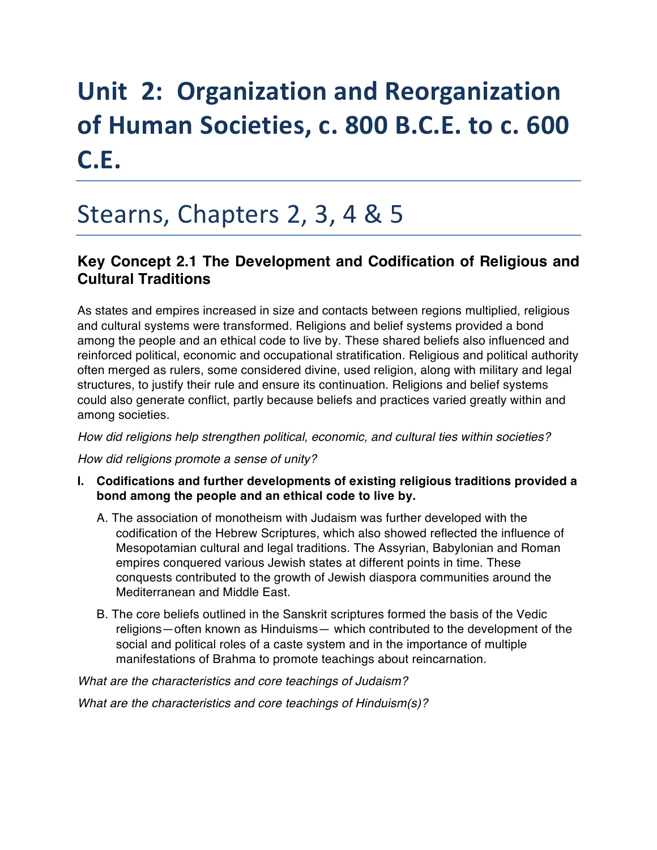# **Unit 2: Organization and Reorganization** of Human Societies, c. 800 B.C.E. to c. 600 **C.E.**

## Stearns, Chapters 2, 3, 4 & 5

## **Key Concept 2.1 The Development and Codification of Religious and Cultural Traditions**

As states and empires increased in size and contacts between regions multiplied, religious and cultural systems were transformed. Religions and belief systems provided a bond among the people and an ethical code to live by. These shared beliefs also influenced and reinforced political, economic and occupational stratification. Religious and political authority often merged as rulers, some considered divine, used religion, along with military and legal structures, to justify their rule and ensure its continuation. Religions and belief systems could also generate conflict, partly because beliefs and practices varied greatly within and among societies.

*How did religions help strengthen political, economic, and cultural ties within societies?* 

*How did religions promote a sense of unity?* 

- **I. Codifications and further developments of existing religious traditions provided a bond among the people and an ethical code to live by.** 
	- A. The association of monotheism with Judaism was further developed with the codification of the Hebrew Scriptures, which also showed reflected the influence of Mesopotamian cultural and legal traditions. The Assyrian, Babylonian and Roman empires conquered various Jewish states at different points in time. These conquests contributed to the growth of Jewish diaspora communities around the Mediterranean and Middle East.
	- B. The core beliefs outlined in the Sanskrit scriptures formed the basis of the Vedic religions—often known as Hinduisms— which contributed to the development of the social and political roles of a caste system and in the importance of multiple manifestations of Brahma to promote teachings about reincarnation.

*What are the characteristics and core teachings of Judaism?* 

*What are the characteristics and core teachings of Hinduism(s)?*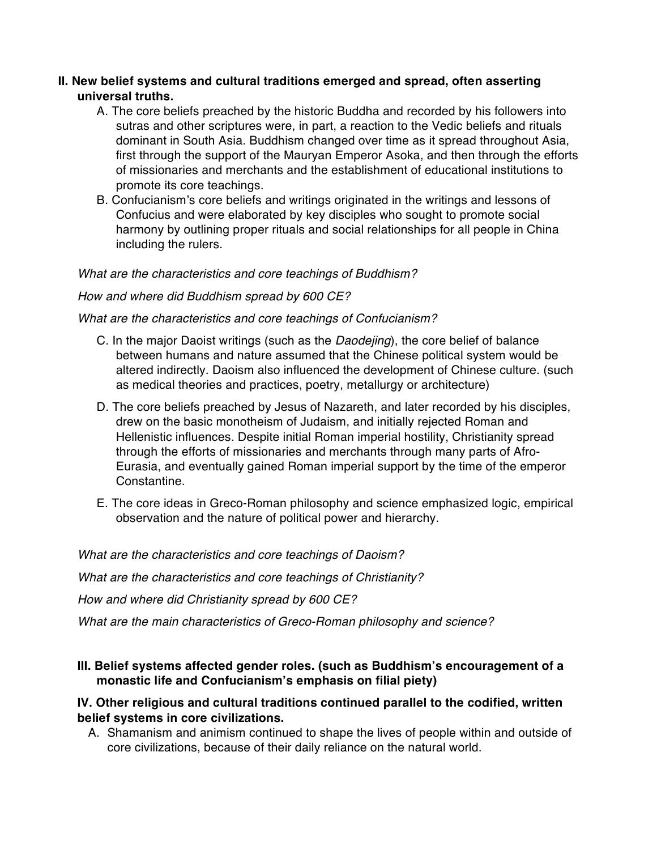#### **II. New belief systems and cultural traditions emerged and spread, often asserting universal truths.**

- A. The core beliefs preached by the historic Buddha and recorded by his followers into sutras and other scriptures were, in part, a reaction to the Vedic beliefs and rituals dominant in South Asia. Buddhism changed over time as it spread throughout Asia, first through the support of the Mauryan Emperor Asoka, and then through the efforts of missionaries and merchants and the establishment of educational institutions to promote its core teachings.
- B. Confucianism's core beliefs and writings originated in the writings and lessons of Confucius and were elaborated by key disciples who sought to promote social harmony by outlining proper rituals and social relationships for all people in China including the rulers.

#### *What are the characteristics and core teachings of Buddhism?*

#### *How and where did Buddhism spread by 600 CE?*

#### *What are the characteristics and core teachings of Confucianism?*

- C. In the major Daoist writings (such as the *Daodejing*), the core belief of balance between humans and nature assumed that the Chinese political system would be altered indirectly. Daoism also influenced the development of Chinese culture. (such as medical theories and practices, poetry, metallurgy or architecture)
- D. The core beliefs preached by Jesus of Nazareth, and later recorded by his disciples, drew on the basic monotheism of Judaism, and initially rejected Roman and Hellenistic influences. Despite initial Roman imperial hostility, Christianity spread through the efforts of missionaries and merchants through many parts of Afro-Eurasia, and eventually gained Roman imperial support by the time of the emperor Constantine.
- E. The core ideas in Greco-Roman philosophy and science emphasized logic, empirical observation and the nature of political power and hierarchy.

*What are the characteristics and core teachings of Daoism? What are the characteristics and core teachings of Christianity? How and where did Christianity spread by 600 CE? What are the main characteristics of Greco-Roman philosophy and science?* 

#### **III. Belief systems affected gender roles. (such as Buddhism's encouragement of a monastic life and Confucianism's emphasis on filial piety)**

#### **IV. Other religious and cultural traditions continued parallel to the codified, written belief systems in core civilizations.**

A. Shamanism and animism continued to shape the lives of people within and outside of core civilizations, because of their daily reliance on the natural world.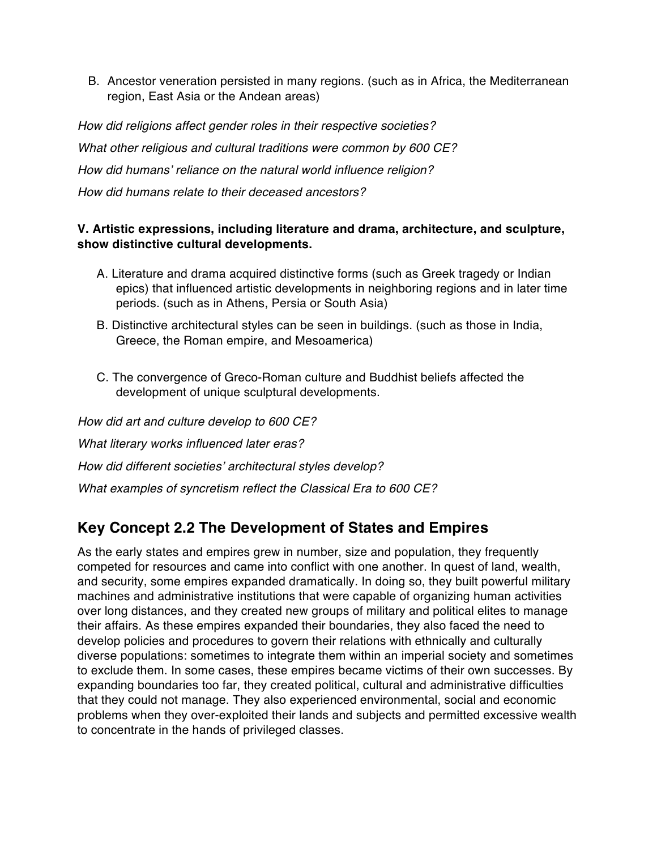B. Ancestor veneration persisted in many regions. (such as in Africa, the Mediterranean region, East Asia or the Andean areas)

*How did religions affect gender roles in their respective societies? What other religious and cultural traditions were common by 600 CE? How did humans' reliance on the natural world influence religion? How did humans relate to their deceased ancestors?* 

#### **V. Artistic expressions, including literature and drama, architecture, and sculpture, show distinctive cultural developments.**

- A. Literature and drama acquired distinctive forms (such as Greek tragedy or Indian epics) that influenced artistic developments in neighboring regions and in later time periods. (such as in Athens, Persia or South Asia)
- B. Distinctive architectural styles can be seen in buildings. (such as those in India, Greece, the Roman empire, and Mesoamerica)
- C. The convergence of Greco-Roman culture and Buddhist beliefs affected the development of unique sculptural developments.

*How did art and culture develop to 600 CE? What literary works influenced later eras? How did different societies' architectural styles develop? What examples of syncretism reflect the Classical Era to 600 CE?* 

## **Key Concept 2.2 The Development of States and Empires**

As the early states and empires grew in number, size and population, they frequently competed for resources and came into conflict with one another. In quest of land, wealth, and security, some empires expanded dramatically. In doing so, they built powerful military machines and administrative institutions that were capable of organizing human activities over long distances, and they created new groups of military and political elites to manage their affairs. As these empires expanded their boundaries, they also faced the need to develop policies and procedures to govern their relations with ethnically and culturally diverse populations: sometimes to integrate them within an imperial society and sometimes to exclude them. In some cases, these empires became victims of their own successes. By expanding boundaries too far, they created political, cultural and administrative difficulties that they could not manage. They also experienced environmental, social and economic problems when they over-exploited their lands and subjects and permitted excessive wealth to concentrate in the hands of privileged classes.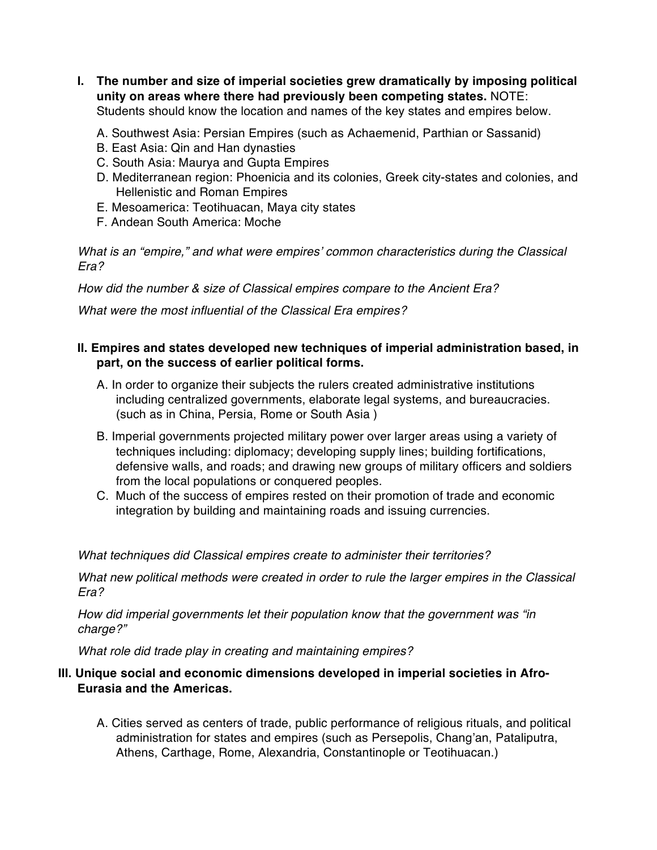**I. The number and size of imperial societies grew dramatically by imposing political unity on areas where there had previously been competing states.** NOTE: Students should know the location and names of the key states and empires below.

A. Southwest Asia: Persian Empires (such as Achaemenid, Parthian or Sassanid)

- B. East Asia: Qin and Han dynasties
- C. South Asia: Maurya and Gupta Empires
- D. Mediterranean region: Phoenicia and its colonies, Greek city-states and colonies, and Hellenistic and Roman Empires
- E. Mesoamerica: Teotihuacan, Maya city states
- F. Andean South America: Moche

*What is an "empire," and what were empires' common characteristics during the Classical Era?* 

*How did the number & size of Classical empires compare to the Ancient Era?* 

*What were the most influential of the Classical Era empires?* 

#### **II. Empires and states developed new techniques of imperial administration based, in part, on the success of earlier political forms.**

- A. In order to organize their subjects the rulers created administrative institutions including centralized governments, elaborate legal systems, and bureaucracies. (such as in China, Persia, Rome or South Asia )
- B. Imperial governments projected military power over larger areas using a variety of techniques including: diplomacy; developing supply lines; building fortifications, defensive walls, and roads; and drawing new groups of military officers and soldiers from the local populations or conquered peoples.
- C. Much of the success of empires rested on their promotion of trade and economic integration by building and maintaining roads and issuing currencies.

*What techniques did Classical empires create to administer their territories?* 

*What new political methods were created in order to rule the larger empires in the Classical Era?* 

*How did imperial governments let their population know that the government was "in charge?"* 

*What role did trade play in creating and maintaining empires?*

#### **III. Unique social and economic dimensions developed in imperial societies in Afro-Eurasia and the Americas.**

A. Cities served as centers of trade, public performance of religious rituals, and political administration for states and empires (such as Persepolis, Chang'an, Pataliputra, Athens, Carthage, Rome, Alexandria, Constantinople or Teotihuacan.)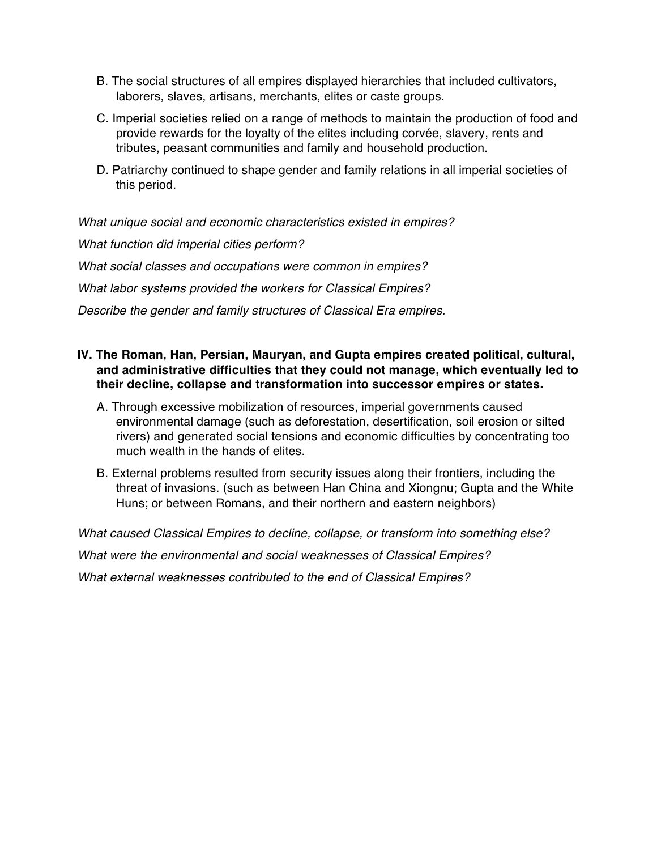- B. The social structures of all empires displayed hierarchies that included cultivators, laborers, slaves, artisans, merchants, elites or caste groups.
- C. Imperial societies relied on a range of methods to maintain the production of food and provide rewards for the loyalty of the elites including corvée, slavery, rents and tributes, peasant communities and family and household production.
- D. Patriarchy continued to shape gender and family relations in all imperial societies of this period.

*What unique social and economic characteristics existed in empires? What function did imperial cities perform? What social classes and occupations were common in empires? What labor systems provided the workers for Classical Empires? Describe the gender and family structures of Classical Era empires.* 

- **IV. The Roman, Han, Persian, Mauryan, and Gupta empires created political, cultural, and administrative difficulties that they could not manage, which eventually led to their decline, collapse and transformation into successor empires or states.** 
	- A. Through excessive mobilization of resources, imperial governments caused environmental damage (such as deforestation, desertification, soil erosion or silted rivers) and generated social tensions and economic difficulties by concentrating too much wealth in the hands of elites.
	- B. External problems resulted from security issues along their frontiers, including the threat of invasions. (such as between Han China and Xiongnu; Gupta and the White Huns; or between Romans, and their northern and eastern neighbors)

*What caused Classical Empires to decline, collapse, or transform into something else? What were the environmental and social weaknesses of Classical Empires? What external weaknesses contributed to the end of Classical Empires?*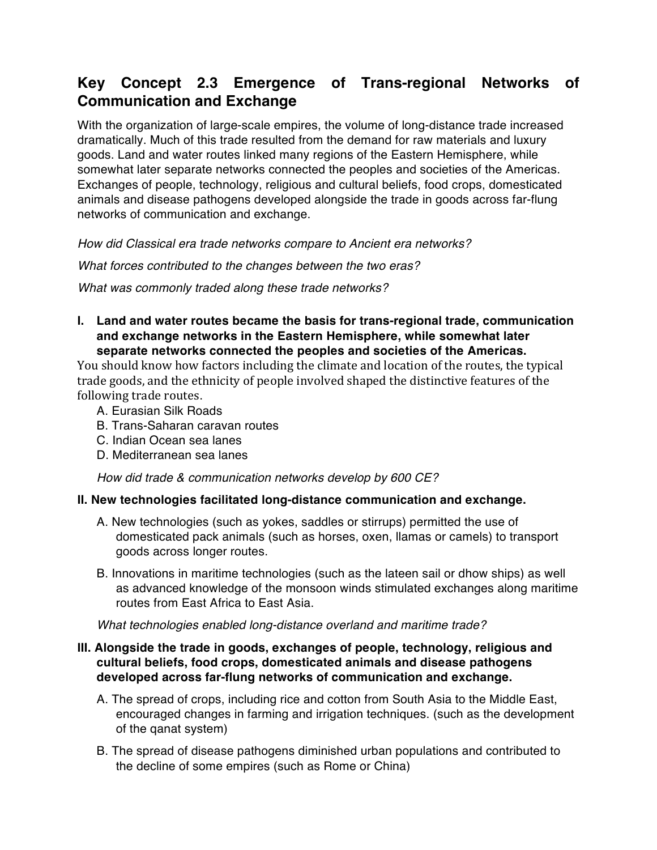## **Key Concept 2.3 Emergence of Trans-regional Networks of Communication and Exchange**

With the organization of large-scale empires, the volume of long-distance trade increased dramatically. Much of this trade resulted from the demand for raw materials and luxury goods. Land and water routes linked many regions of the Eastern Hemisphere, while somewhat later separate networks connected the peoples and societies of the Americas. Exchanges of people, technology, religious and cultural beliefs, food crops, domesticated animals and disease pathogens developed alongside the trade in goods across far-flung networks of communication and exchange.

*How did Classical era trade networks compare to Ancient era networks?* 

*What forces contributed to the changes between the two eras?* 

*What was commonly traded along these trade networks?* 

**I. Land and water routes became the basis for trans-regional trade, communication and exchange networks in the Eastern Hemisphere, while somewhat later separate networks connected the peoples and societies of the Americas.**

You should know how factors including the climate and location of the routes, the typical trade goods, and the ethnicity of people involved shaped the distinctive features of the following trade routes.

- A. Eurasian Silk Roads
- B. Trans-Saharan caravan routes
- C. Indian Ocean sea lanes
- D. Mediterranean sea lanes

*How did trade & communication networks develop by 600 CE?* 

#### **II. New technologies facilitated long-distance communication and exchange.**

- A. New technologies (such as yokes, saddles or stirrups) permitted the use of domesticated pack animals (such as horses, oxen, llamas or camels) to transport goods across longer routes.
- B. Innovations in maritime technologies (such as the lateen sail or dhow ships) as well as advanced knowledge of the monsoon winds stimulated exchanges along maritime routes from East Africa to East Asia.

*What technologies enabled long-distance overland and maritime trade?* 

#### **III. Alongside the trade in goods, exchanges of people, technology, religious and cultural beliefs, food crops, domesticated animals and disease pathogens developed across far-flung networks of communication and exchange.**

- A. The spread of crops, including rice and cotton from South Asia to the Middle East, encouraged changes in farming and irrigation techniques. (such as the development of the qanat system)
- B. The spread of disease pathogens diminished urban populations and contributed to the decline of some empires (such as Rome or China)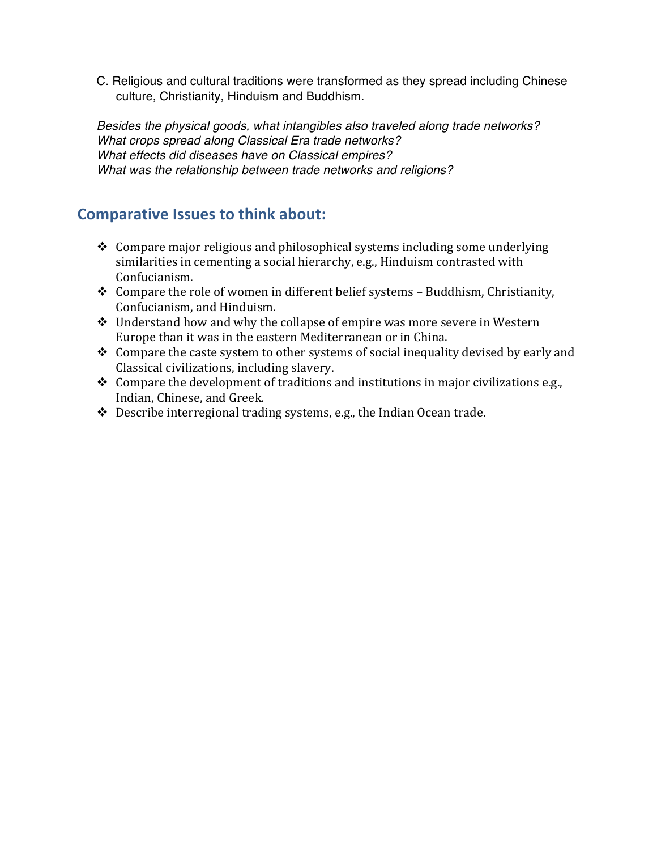C. Religious and cultural traditions were transformed as they spread including Chinese culture, Christianity, Hinduism and Buddhism.

*Besides the physical goods, what intangibles also traveled along trade networks? What crops spread along Classical Era trade networks? What effects did diseases have on Classical empires? What was the relationship between trade networks and religions?*

### **Comparative Issues to think about:**

- $\triangleleft$  Compare major religious and philosophical systems including some underlying similarities in cementing a social hierarchy, e.g., Hinduism contrasted with Confucianism.
- $\triangleleft$  Compare the role of women in different belief systems Buddhism, Christianity, Confucianism, and Hinduism.
- $\cdot$  Understand how and why the collapse of empire was more severe in Western Europe than it was in the eastern Mediterranean or in China.
- $\cdot$  Compare the caste system to other systems of social inequality devised by early and Classical civilizations, including slavery.
- $\cdot$  Compare the development of traditions and institutions in major civilizations e.g., Indian, Chinese, and Greek.
- $\cdot$  Describe interregional trading systems, e.g., the Indian Ocean trade.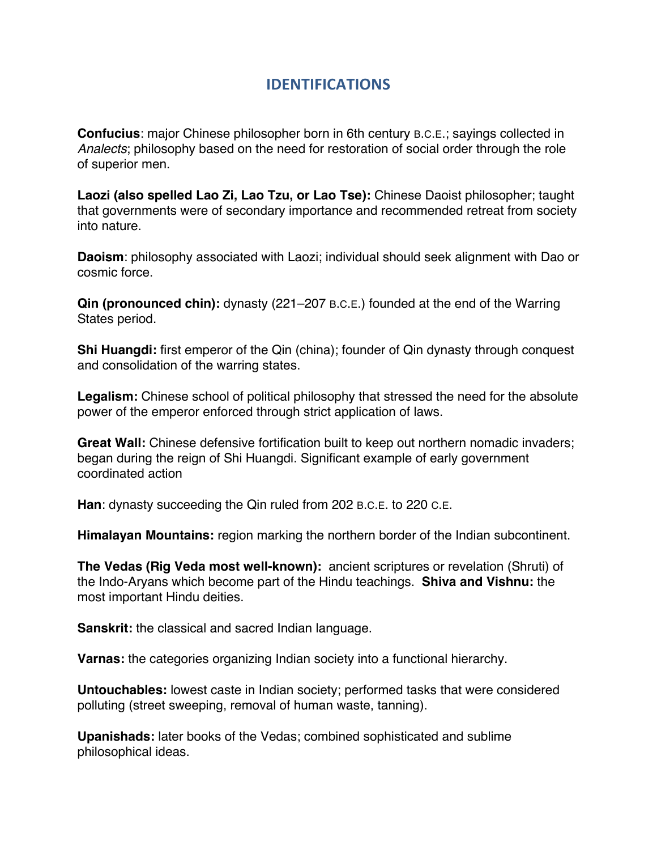## **IDENTIFICATIONS**

**Confucius**: major Chinese philosopher born in 6th century B.C.E.; sayings collected in *Analects*; philosophy based on the need for restoration of social order through the role of superior men.

**Laozi (also spelled Lao Zi, Lao Tzu, or Lao Tse):** Chinese Daoist philosopher; taught that governments were of secondary importance and recommended retreat from society into nature.

**Daoism**: philosophy associated with Laozi; individual should seek alignment with Dao or cosmic force.

**Qin (pronounced chin):** dynasty (221–207 B.C.E.) founded at the end of the Warring States period.

**Shi Huangdi:** first emperor of the Qin (china); founder of Qin dynasty through conquest and consolidation of the warring states.

**Legalism:** Chinese school of political philosophy that stressed the need for the absolute power of the emperor enforced through strict application of laws.

**Great Wall:** Chinese defensive fortification built to keep out northern nomadic invaders; began during the reign of Shi Huangdi. Significant example of early government coordinated action

**Han**: dynasty succeeding the Qin ruled from 202 B.C.E. to 220 C.E.

**Himalayan Mountains:** region marking the northern border of the Indian subcontinent.

**The Vedas (Rig Veda most well-known):** ancient scriptures or revelation (Shruti) of the Indo-Aryans which become part of the Hindu teachings. **Shiva and Vishnu:** the most important Hindu deities.

**Sanskrit:** the classical and sacred Indian language.

**Varnas:** the categories organizing Indian society into a functional hierarchy.

**Untouchables:** lowest caste in Indian society; performed tasks that were considered polluting (street sweeping, removal of human waste, tanning).

**Upanishads:** later books of the Vedas; combined sophisticated and sublime philosophical ideas.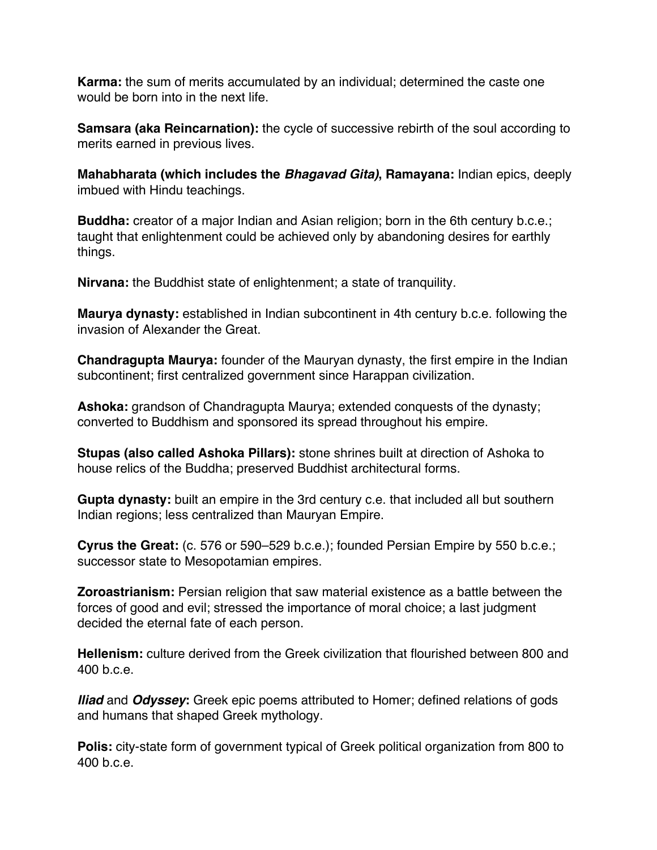**Karma:** the sum of merits accumulated by an individual; determined the caste one would be born into in the next life.

**Samsara (aka Reincarnation):** the cycle of successive rebirth of the soul according to merits earned in previous lives.

**Mahabharata (which includes the** *Bhagavad Gita)***, Ramayana:** Indian epics, deeply imbued with Hindu teachings.

**Buddha:** creator of a major Indian and Asian religion; born in the 6th century b.c.e.; taught that enlightenment could be achieved only by abandoning desires for earthly things.

**Nirvana:** the Buddhist state of enlightenment; a state of tranquility.

**Maurya dynasty:** established in Indian subcontinent in 4th century b.c.e. following the invasion of Alexander the Great.

**Chandragupta Maurya:** founder of the Mauryan dynasty, the first empire in the Indian subcontinent; first centralized government since Harappan civilization.

**Ashoka:** grandson of Chandragupta Maurya; extended conquests of the dynasty; converted to Buddhism and sponsored its spread throughout his empire.

**Stupas (also called Ashoka Pillars):** stone shrines built at direction of Ashoka to house relics of the Buddha; preserved Buddhist architectural forms.

**Gupta dynasty:** built an empire in the 3rd century c.e. that included all but southern Indian regions; less centralized than Mauryan Empire.

**Cyrus the Great:** (c. 576 or 590–529 b.c.e.); founded Persian Empire by 550 b.c.e.; successor state to Mesopotamian empires.

**Zoroastrianism:** Persian religion that saw material existence as a battle between the forces of good and evil; stressed the importance of moral choice; a last judgment decided the eternal fate of each person.

**Hellenism:** culture derived from the Greek civilization that flourished between 800 and 400 b.c.e.

*Iliad* and *Odyssey***:** Greek epic poems attributed to Homer; defined relations of gods and humans that shaped Greek mythology.

**Polis:** city-state form of government typical of Greek political organization from 800 to 400 b.c.e.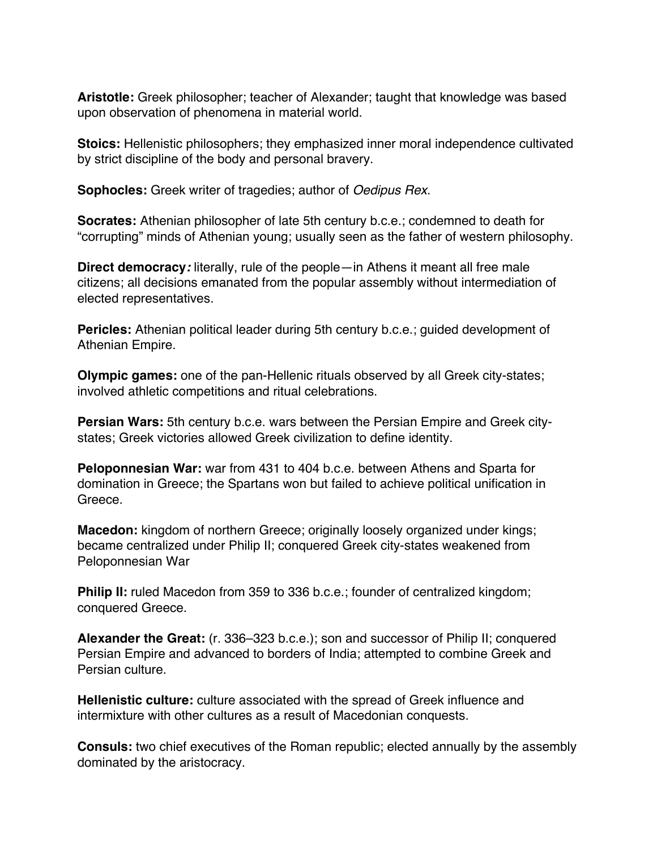**Aristotle:** Greek philosopher; teacher of Alexander; taught that knowledge was based upon observation of phenomena in material world.

**Stoics:** Hellenistic philosophers; they emphasized inner moral independence cultivated by strict discipline of the body and personal bravery.

**Sophocles:** Greek writer of tragedies; author of *Oedipus Rex*.

**Socrates:** Athenian philosopher of late 5th century b.c.e.; condemned to death for "corrupting" minds of Athenian young; usually seen as the father of western philosophy.

**Direct democracy***:* literally, rule of the people—in Athens it meant all free male citizens; all decisions emanated from the popular assembly without intermediation of elected representatives.

**Pericles:** Athenian political leader during 5th century b.c.e.; guided development of Athenian Empire.

**Olympic games:** one of the pan-Hellenic rituals observed by all Greek city-states; involved athletic competitions and ritual celebrations.

**Persian Wars:** 5th century b.c.e. wars between the Persian Empire and Greek citystates; Greek victories allowed Greek civilization to define identity.

**Peloponnesian War:** war from 431 to 404 b.c.e. between Athens and Sparta for domination in Greece; the Spartans won but failed to achieve political unification in Greece.

**Macedon:** kingdom of northern Greece; originally loosely organized under kings; became centralized under Philip II; conquered Greek city-states weakened from Peloponnesian War

**Philip II:** ruled Macedon from 359 to 336 b.c.e.; founder of centralized kingdom; conquered Greece.

**Alexander the Great:** (r. 336–323 b.c.e.); son and successor of Philip II; conquered Persian Empire and advanced to borders of India; attempted to combine Greek and Persian culture.

**Hellenistic culture:** culture associated with the spread of Greek influence and intermixture with other cultures as a result of Macedonian conquests.

**Consuls:** two chief executives of the Roman republic; elected annually by the assembly dominated by the aristocracy.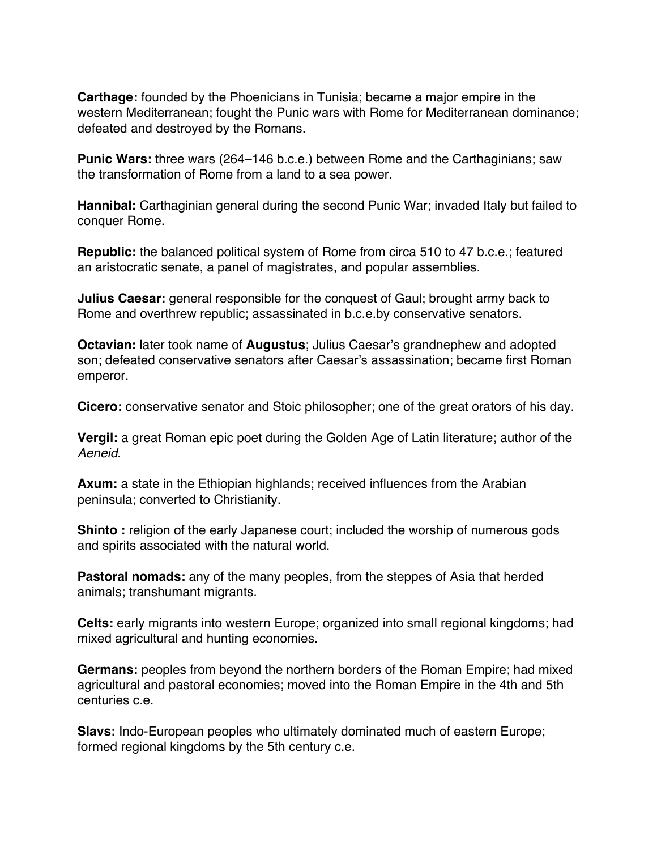**Carthage:** founded by the Phoenicians in Tunisia; became a major empire in the western Mediterranean; fought the Punic wars with Rome for Mediterranean dominance; defeated and destroyed by the Romans.

**Punic Wars:** three wars (264–146 b.c.e.) between Rome and the Carthaginians; saw the transformation of Rome from a land to a sea power.

**Hannibal:** Carthaginian general during the second Punic War; invaded Italy but failed to conquer Rome.

**Republic:** the balanced political system of Rome from circa 510 to 47 b.c.e.; featured an aristocratic senate, a panel of magistrates, and popular assemblies.

**Julius Caesar:** general responsible for the conquest of Gaul; brought army back to Rome and overthrew republic; assassinated in b.c.e.by conservative senators.

**Octavian:** later took name of **Augustus**; Julius Caesar's grandnephew and adopted son; defeated conservative senators after Caesar's assassination; became first Roman emperor.

**Cicero:** conservative senator and Stoic philosopher; one of the great orators of his day.

**Vergil:** a great Roman epic poet during the Golden Age of Latin literature; author of the *Aeneid*.

**Axum:** a state in the Ethiopian highlands; received influences from the Arabian peninsula; converted to Christianity.

**Shinto**: religion of the early Japanese court; included the worship of numerous gods and spirits associated with the natural world.

**Pastoral nomads:** any of the many peoples, from the steppes of Asia that herded animals; transhumant migrants.

**Celts:** early migrants into western Europe; organized into small regional kingdoms; had mixed agricultural and hunting economies.

**Germans:** peoples from beyond the northern borders of the Roman Empire; had mixed agricultural and pastoral economies; moved into the Roman Empire in the 4th and 5th centuries c.e.

**Slavs:** Indo-European peoples who ultimately dominated much of eastern Europe; formed regional kingdoms by the 5th century c.e.